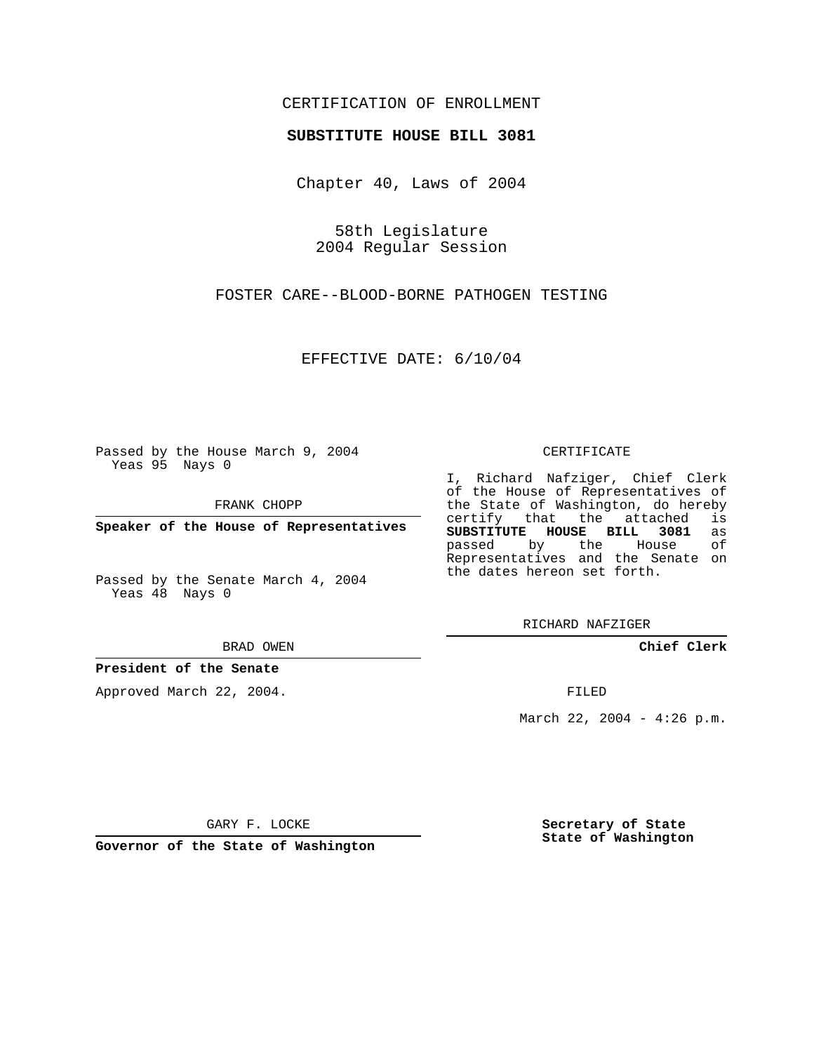## CERTIFICATION OF ENROLLMENT

## **SUBSTITUTE HOUSE BILL 3081**

Chapter 40, Laws of 2004

58th Legislature 2004 Regular Session

FOSTER CARE--BLOOD-BORNE PATHOGEN TESTING

EFFECTIVE DATE: 6/10/04

Passed by the House March 9, 2004 Yeas 95 Nays 0

FRANK CHOPP

**Speaker of the House of Representatives**

Passed by the Senate March 4, 2004 Yeas 48 Nays 0

BRAD OWEN

## **President of the Senate**

Approved March 22, 2004.

CERTIFICATE

I, Richard Nafziger, Chief Clerk of the House of Representatives of the State of Washington, do hereby<br>certify that the attached is certify that the attached **SUBSTITUTE HOUSE BILL 3081** as passed by the House Representatives and the Senate on the dates hereon set forth.

RICHARD NAFZIGER

**Chief Clerk**

FILED

March 22, 2004 - 4:26 p.m.

GARY F. LOCKE

**Governor of the State of Washington**

**Secretary of State State of Washington**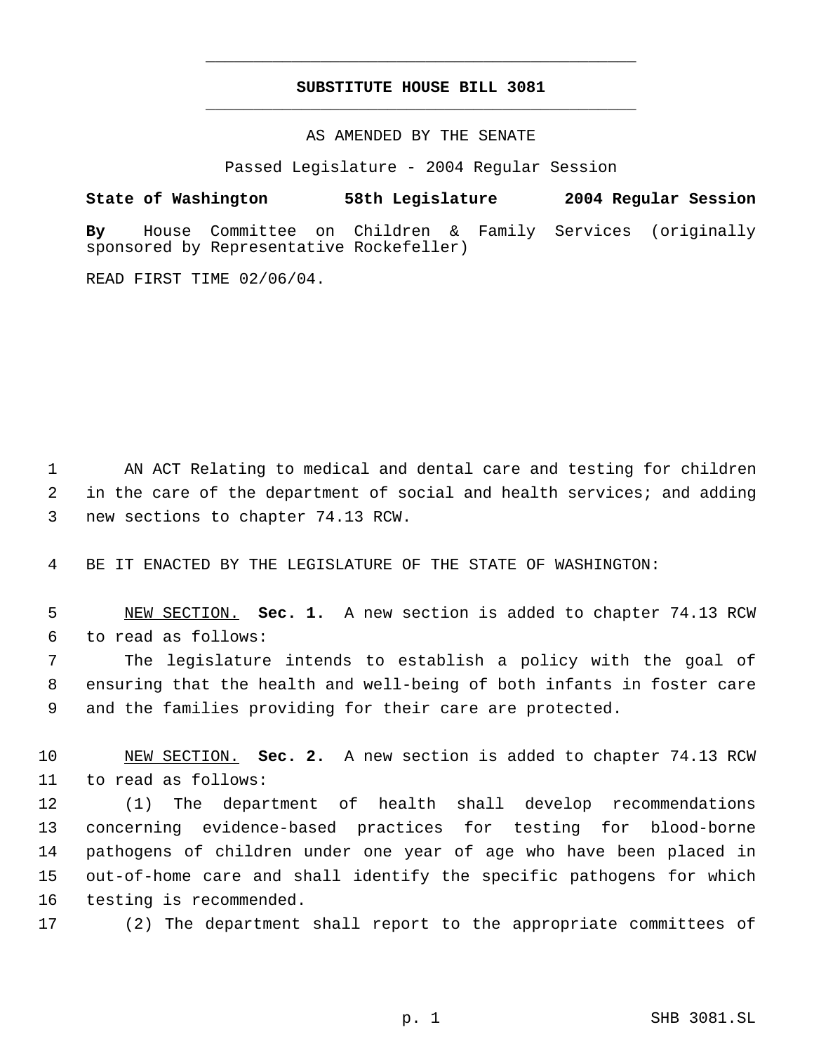## **SUBSTITUTE HOUSE BILL 3081** \_\_\_\_\_\_\_\_\_\_\_\_\_\_\_\_\_\_\_\_\_\_\_\_\_\_\_\_\_\_\_\_\_\_\_\_\_\_\_\_\_\_\_\_\_

\_\_\_\_\_\_\_\_\_\_\_\_\_\_\_\_\_\_\_\_\_\_\_\_\_\_\_\_\_\_\_\_\_\_\_\_\_\_\_\_\_\_\_\_\_

AS AMENDED BY THE SENATE

Passed Legislature - 2004 Regular Session

**State of Washington 58th Legislature 2004 Regular Session By** House Committee on Children & Family Services (originally sponsored by Representative Rockefeller)

READ FIRST TIME 02/06/04.

1 AN ACT Relating to medical and dental care and testing for children 2 in the care of the department of social and health services; and adding 3 new sections to chapter 74.13 RCW.

4 BE IT ENACTED BY THE LEGISLATURE OF THE STATE OF WASHINGTON:

 5 NEW SECTION. **Sec. 1.** A new section is added to chapter 74.13 RCW 6 to read as follows:

 7 The legislature intends to establish a policy with the goal of 8 ensuring that the health and well-being of both infants in foster care 9 and the families providing for their care are protected.

10 NEW SECTION. **Sec. 2.** A new section is added to chapter 74.13 RCW 11 to read as follows:

 (1) The department of health shall develop recommendations concerning evidence-based practices for testing for blood-borne pathogens of children under one year of age who have been placed in out-of-home care and shall identify the specific pathogens for which testing is recommended.

17 (2) The department shall report to the appropriate committees of